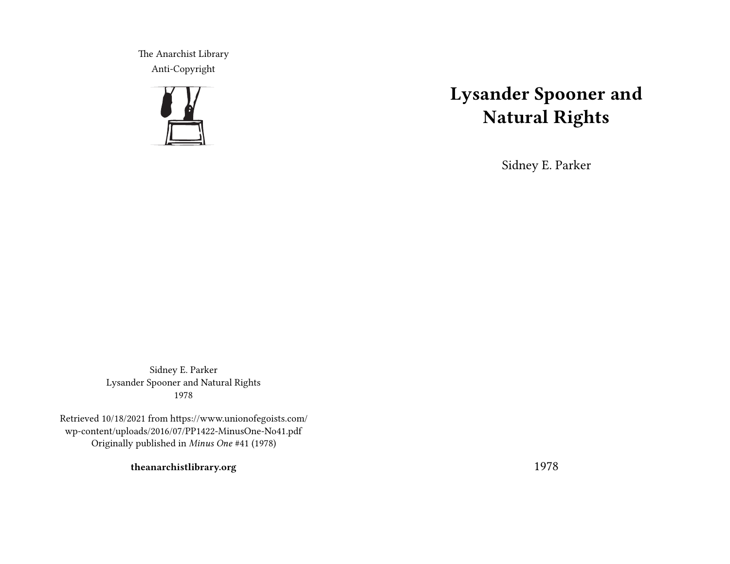The Anarchist Library Anti-Copyright



## **Lysander Spooner and Natural Rights**

Sidney E. Parker

Sidney E. Parker Lysander Spooner and Natural Rights 1978

Retrieved 10/18/2021 from https://www.unionofegoists.com/ wp-content/uploads/2016/07/PP1422-MinusOne-No41.pdf Originally published in *Minus One* #41 (1978)

**theanarchistlibrary.org**

1978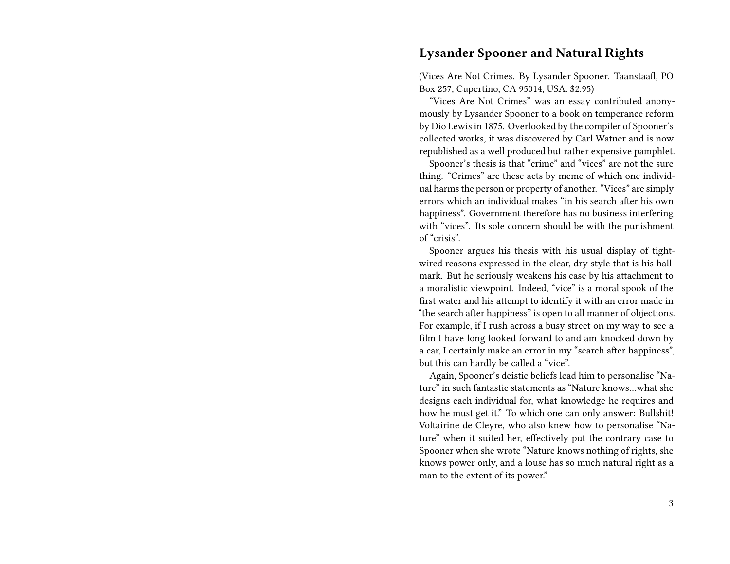## **Lysander Spooner and Natural Rights**

(Vices Are Not Crimes. By Lysander Spooner. Taanstaafl, PO Box 257, Cupertino, CA 95014, USA. \$2.95)

"Vices Are Not Crimes" was an essay contributed anonymously by Lysander Spooner to a book on temperance reform by Dio Lewis in 1875. Overlooked by the compiler of Spooner's collected works, it was discovered by Carl Watner and is now republished as a well produced but rather expensive pamphlet.

Spooner's thesis is that "crime" and "vices" are not the sure thing. "Crimes" are these acts by meme of which one individual harms the person or property of another. "Vices" are simply errors which an individual makes "in his search after his own happiness". Government therefore has no business interfering with "vices". Its sole concern should be with the punishment of "crisis".

Spooner argues his thesis with his usual display of tightwired reasons expressed in the clear, dry style that is his hallmark. But he seriously weakens his case by his attachment to a moralistic viewpoint. Indeed, "vice" is a moral spook of the first water and his attempt to identify it with an error made in "the search after happiness" is open to all manner of objections. For example, if I rush across a busy street on my way to see a film I have long looked forward to and am knocked down by a car, I certainly make an error in my "search after happiness", but this can hardly be called a "vice".

Again, Spooner's deistic beliefs lead him to personalise "Nature" in such fantastic statements as "Nature knows…what she designs each individual for, what knowledge he requires and how he must get it." To which one can only answer: Bullshit! Voltairine de Cleyre, who also knew how to personalise "Nature" when it suited her, effectively put the contrary case to Spooner when she wrote "Nature knows nothing of rights, she knows power only, and a louse has so much natural right as a man to the extent of its power."